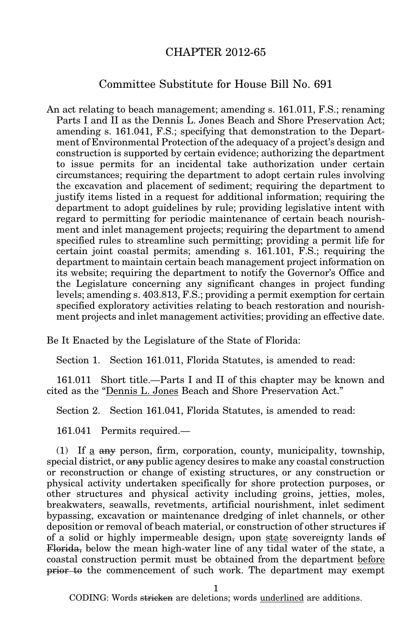## CHAPTER 2012-65

## Committee Substitute for House Bill No. 691

An act relating to beach management; amending s. 161.011, F.S.; renaming Parts I and II as the Dennis L. Jones Beach and Shore Preservation Act; amending s. 161.041, F.S.; specifying that demonstration to the Department of Environmental Protection of the adequacy of a project's design and construction is supported by certain evidence; authorizing the department to issue permits for an incidental take authorization under certain circumstances; requiring the department to adopt certain rules involving the excavation and placement of sediment; requiring the department to justify items listed in a request for additional information; requiring the department to adopt guidelines by rule; providing legislative intent with regard to permitting for periodic maintenance of certain beach nourishment and inlet management projects; requiring the department to amend specified rules to streamline such permitting; providing a permit life for certain joint coastal permits; amending s. 161.101, F.S.; requiring the department to maintain certain beach management project information on its website; requiring the department to notify the Governor's Office and the Legislature concerning any significant changes in project funding levels; amending s. 403.813, F.S.; providing a permit exemption for certain specified exploratory activities relating to beach restoration and nourishment projects and inlet management activities; providing an effective date.

Be It Enacted by the Legislature of the State of Florida:

Section 1. Section 161.011, Florida Statutes, is amended to read:

161.011 Short title.—Parts I and II of this chapter may be known and cited as the "Dennis L. Jones Beach and Shore Preservation Act."

Section 2. Section 161.041, Florida Statutes, is amended to read:

161.041 Permits required.—

(1) If a any person, firm, corporation, county, municipality, township, special district, or any public agency desires to make any coastal construction or reconstruction or change of existing structures, or any construction or physical activity undertaken specifically for shore protection purposes, or other structures and physical activity including groins, jetties, moles, breakwaters, seawalls, revetments, artificial nourishment, inlet sediment bypassing, excavation or maintenance dredging of inlet channels, or other deposition or removal of beach material, or construction of other structures if of a solid or highly impermeable design, upon state sovereignty lands of Florida, below the mean high-water line of any tidal water of the state, a coastal construction permit must be obtained from the department before prior to the commencement of such work. The department may exempt

1

CODING: Words stricken are deletions; words underlined are additions.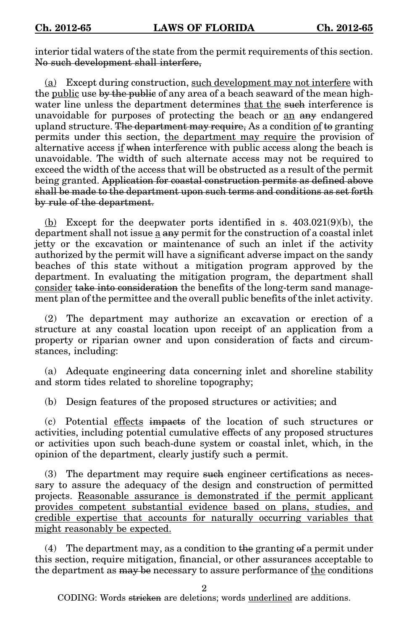interior tidal waters of the state from the permit requirements of this section. No such development shall interfere,

(a) Except during construction, such development may not interfere with the <u>public</u> use by the public of any area of a beach seaward of the mean highwater line unless the department determines that the such interference is unavoidable for purposes of protecting the beach or an any endangered upland structure. The department may require, As a condition of to granting permits under this section, the department may require the provision of alternative access if when interference with public access along the beach is unavoidable. The width of such alternate access may not be required to exceed the width of the access that will be obstructed as a result of the permit being granted. Application for coastal construction permits as defined above shall be made to the department upon such terms and conditions as set forth by rule of the department.

 $(b)$  Except for the deepwater ports identified in s.  $403.021(9)(b)$ , the department shall not issue  $\underline{a}$  any permit for the construction of a coastal inlet jetty or the excavation or maintenance of such an inlet if the activity authorized by the permit will have a significant adverse impact on the sandy beaches of this state without a mitigation program approved by the department. In evaluating the mitigation program, the department shall consider take into consideration the benefits of the long-term sand management plan of the permittee and the overall public benefits of the inlet activity.

(2) The department may authorize an excavation or erection of a structure at any coastal location upon receipt of an application from a property or riparian owner and upon consideration of facts and circumstances, including:

(a) Adequate engineering data concerning inlet and shoreline stability and storm tides related to shoreline topography;

(b) Design features of the proposed structures or activities; and

(c) Potential effects impacts of the location of such structures or activities, including potential cumulative effects of any proposed structures or activities upon such beach-dune system or coastal inlet, which, in the opinion of the department, clearly justify such a permit.

(3) The department may require such engineer certifications as necessary to assure the adequacy of the design and construction of permitted projects. Reasonable assurance is demonstrated if the permit applicant provides competent substantial evidence based on plans, studies, and credible expertise that accounts for naturally occurring variables that might reasonably be expected.

(4) The department may, as a condition to the granting of a permit under this section, require mitigation, financial, or other assurances acceptable to the department as may be necessary to assure performance of the conditions

2

CODING: Words <del>stricken</del> are deletions; words <u>underlined</u> are additions.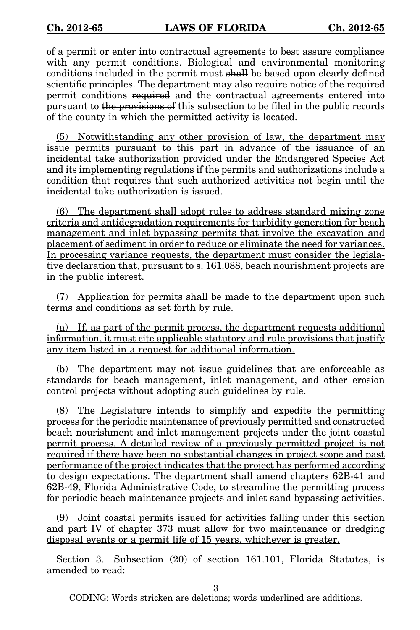of a permit or enter into contractual agreements to best assure compliance with any permit conditions. Biological and environmental monitoring conditions included in the permit must shall be based upon clearly defined scientific principles. The department may also require notice of the required permit conditions required and the contractual agreements entered into pursuant to the provisions of this subsection to be filed in the public records of the county in which the permitted activity is located.

(5) Notwithstanding any other provision of law, the department may issue permits pursuant to this part in advance of the issuance of an incidental take authorization provided under the Endangered Species Act and its implementing regulations if the permits and authorizations include a condition that requires that such authorized activities not begin until the incidental take authorization is issued.

(6) The department shall adopt rules to address standard mixing zone criteria and antidegradation requirements for turbidity generation for beach management and inlet bypassing permits that involve the excavation and placement of sediment in order to reduce or eliminate the need for variances. In processing variance requests, the department must consider the legislative declaration that, pursuant to s. 161.088, beach nourishment projects are in the public interest.

(7) Application for permits shall be made to the department upon such terms and conditions as set forth by rule.

(a) If, as part of the permit process, the department requests additional information, it must cite applicable statutory and rule provisions that justify any item listed in a request for additional information.

(b) The department may not issue guidelines that are enforceable as standards for beach management, inlet management, and other erosion control projects without adopting such guidelines by rule.

(8) The Legislature intends to simplify and expedite the permitting process for the periodic maintenance of previously permitted and constructed beach nourishment and inlet management projects under the joint coastal permit process. A detailed review of a previously permitted project is not required if there have been no substantial changes in project scope and past performance of the project indicates that the project has performed according to design expectations. The department shall amend chapters 62B-41 and 62B-49, Florida Administrative Code, to streamline the permitting process for periodic beach maintenance projects and inlet sand bypassing activities.

(9) Joint coastal permits issued for activities falling under this section and part IV of chapter 373 must allow for two maintenance or dredging disposal events or a permit life of 15 years, whichever is greater.

Section 3. Subsection (20) of section 161.101, Florida Statutes, is amended to read:

3

CODING: Words stricken are deletions; words underlined are additions.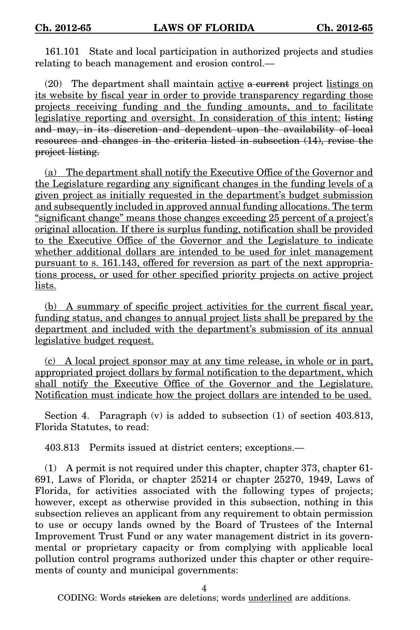161.101 State and local participation in authorized projects and studies relating to beach management and erosion control.—

 $(20)$  The department shall maintain active a current project listings on its website by fiscal year in order to provide transparency regarding those projects receiving funding and the funding amounts, and to facilitate legislative reporting and oversight. In consideration of this intent: listing and may, in its discretion and dependent upon the availability of local resources and changes in the criteria listed in subsection (14), revise the project listing.

(a) The department shall notify the Executive Office of the Governor and the Legislature regarding any significant changes in the funding levels of a given project as initially requested in the department's budget submission and subsequently included in approved annual funding allocations. The term "significant change" means those changes exceeding 25 percent of a project's original allocation. If there is surplus funding, notification shall be provided to the Executive Office of the Governor and the Legislature to indicate whether additional dollars are intended to be used for inlet management pursuant to s. 161.143, offered for reversion as part of the next appropriations process, or used for other specified priority projects on active project lists.

(b) A summary of specific project activities for the current fiscal year, funding status, and changes to annual project lists shall be prepared by the department and included with the department's submission of its annual legislative budget request.

(c) A local project sponsor may at any time release, in whole or in part, appropriated project dollars by formal notification to the department, which shall notify the Executive Office of the Governor and the Legislature. Notification must indicate how the project dollars are intended to be used.

Section 4. Paragraph (v) is added to subsection (1) of section 403.813, Florida Statutes, to read:

403.813 Permits issued at district centers; exceptions.—

(1) A permit is not required under this chapter, chapter 373, chapter 61- 691, Laws of Florida, or chapter 25214 or chapter 25270, 1949, Laws of Florida, for activities associated with the following types of projects; however, except as otherwise provided in this subsection, nothing in this subsection relieves an applicant from any requirement to obtain permission to use or occupy lands owned by the Board of Trustees of the Internal Improvement Trust Fund or any water management district in its governmental or proprietary capacity or from complying with applicable local pollution control programs authorized under this chapter or other requirements of county and municipal governments:

CODING: Words stricken are deletions; words underlined are additions.